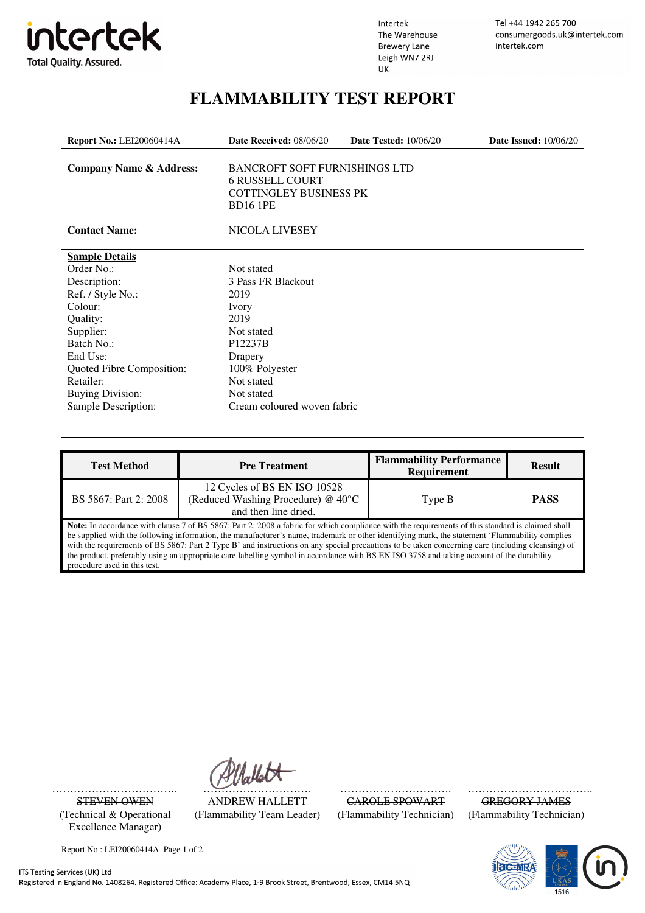

Intertek The Warehouse **Brewery Lane** Leigh WN7 2RJ UK

Tel +44 1942 265 700 consumergoods.uk@intertek.com intertek.com

## **FLAMMABILITY TEST REPORT**

| <b>Report No.: LEI20060414A</b>    | Date Received: 08/06/20                                                                                            | <b>Date Tested: 10/06/20</b> | <b>Date Issued:</b> 10/06/20 |  |  |  |
|------------------------------------|--------------------------------------------------------------------------------------------------------------------|------------------------------|------------------------------|--|--|--|
| <b>Company Name &amp; Address:</b> | <b>BANCROFT SOFT FURNISHINGS LTD</b><br><b>6 RUSSELL COURT</b><br><b>COTTINGLEY BUSINESS PK</b><br><b>BD16 1PE</b> |                              |                              |  |  |  |
| <b>Contact Name:</b>               | <b>NICOLA LIVESEY</b>                                                                                              |                              |                              |  |  |  |
| <b>Sample Details</b>              |                                                                                                                    |                              |                              |  |  |  |
| Order No.:                         | Not stated                                                                                                         |                              |                              |  |  |  |
| Description:                       | 3 Pass FR Blackout                                                                                                 |                              |                              |  |  |  |
| Ref. / Style No.:                  | 2019                                                                                                               |                              |                              |  |  |  |
| Colour:                            | Ivory                                                                                                              |                              |                              |  |  |  |
| Quality:                           | 2019                                                                                                               |                              |                              |  |  |  |
| Supplier:                          | Not stated                                                                                                         |                              |                              |  |  |  |
| Batch No.:                         | P12237B                                                                                                            |                              |                              |  |  |  |
| End Use:                           | Drapery                                                                                                            |                              |                              |  |  |  |
| Quoted Fibre Composition:          | 100% Polyester                                                                                                     |                              |                              |  |  |  |
| Retailer:                          | Not stated                                                                                                         |                              |                              |  |  |  |
| <b>Buying Division:</b>            | Not stated                                                                                                         |                              |                              |  |  |  |
| Sample Description:                | Cream coloured woven fabric                                                                                        |                              |                              |  |  |  |

| <b>Test Method</b>                                                                                                                                                                                                                                                                                                                                                                                                                                                                                                                                                                                                                   | <b>Pre Treatment</b>                                                                       | <b>Flammability Performance</b><br><b>Requirement</b> | <b>Result</b> |  |  |
|--------------------------------------------------------------------------------------------------------------------------------------------------------------------------------------------------------------------------------------------------------------------------------------------------------------------------------------------------------------------------------------------------------------------------------------------------------------------------------------------------------------------------------------------------------------------------------------------------------------------------------------|--------------------------------------------------------------------------------------------|-------------------------------------------------------|---------------|--|--|
| BS 5867: Part 2: 2008                                                                                                                                                                                                                                                                                                                                                                                                                                                                                                                                                                                                                | 12 Cycles of BS EN ISO 10528<br>(Reduced Washing Procedure) @ 40°C<br>and then line dried. | Type B                                                | <b>PASS</b>   |  |  |
| Note: In accordance with clause 7 of BS 5867: Part 2: 2008 a fabric for which compliance with the requirements of this standard is claimed shall<br>be supplied with the following information, the manufacturer's name, trademark or other identifying mark, the statement 'Flammability complies<br>with the requirements of BS 5867: Part 2 Type B' and instructions on any special precautions to be taken concerning care (including cleansing) of<br>the product, preferably using an appropriate care labelling symbol in accordance with BS EN ISO 3758 and taking account of the durability<br>procedure used in this test. |                                                                                            |                                                       |               |  |  |

(Flammability Team Leader)

(Technical & Operational Excellence Manager)

Report No.: LEI20060414A Page 1 of 2

…………………………….. ………………………… …………………………. ……………………………... CAROLE SPOWART GREGORY JAMES<br>(Flammability Technician) (Flammability Technician)